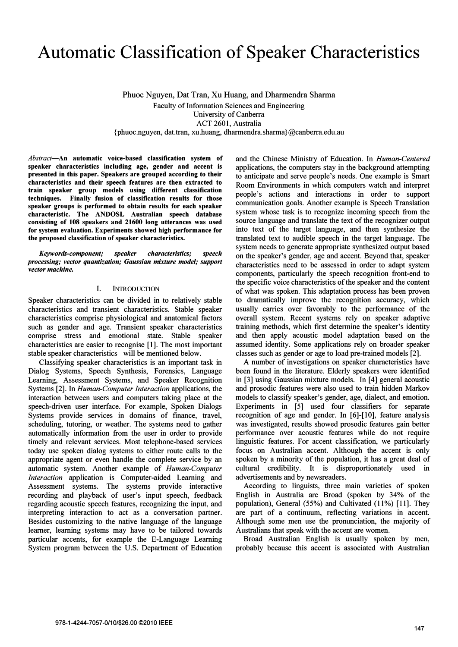# Automatic Classification of Speaker Characteristics

Phuoc Nguyen, Dat Tran, Xu Huang, and Dharmendra Sharma Faculty of Information Sciences and Engineering University of Canberra ACT 2601, Australia {phuoc.nguyen, dat.tran, xu.huang, dharmendra.sharma}@canberra.edu.au

Abstract-An automatic voice-based classification system of speaker characteristics including age, gender and accent is presented in this paper. Speakers are grouped according to their characteristics and their speech features are then extracted to train speaker group models using different classification techniques. Finally fusion of classification results for those speaker groups is performed to obtain results for each speaker characteristic. The ANDOSL Australian speech database consisting of 108 speakers and 21600 long utterances was used for system evaluation. Experiments showed high performance for the proposed classification of speaker characteristics.

Keywords-component; speaker characteristics; speech processing; vector quantization; Gaussian mixture model; support vector machine.

# I. INTRODUCTION

Speaker characteristics can be divided in to relatively stable characteristics and transient characteristics. Stable speaker characteristics comprise physiological and anatomical factors such as gender and age. Transient speaker characteristics comprise stress and emotional state. Stable speaker characteristics are easier to recognise [1]. The most important stable speaker characteristics will be mentioned below.

Classifying speaker characteristics is an important task in Dialog Systems, Speech Synthesis, Forensics, Language Learning, Assessment Systems, and Speaker Recognition Systems [2]. In Human-Computer Interaction applications, the interaction between users and computers taking place at the speech-driven user interface. For example, Spoken Dialogs Systems provide services in domains of finance, travel, scheduling, tutoring, or weather. The systems need to gather automatically information from the user in order to provide timely and relevant services. Most telephone-based services today use spoken dialog systems to either route calls to the appropriate agent or even handle the complete service by an automatic system. Another example of Human-Computer Interaction application is Computer-aided Learning and Assessment systems. The systems provide interactive recording and playback of user's input speech, feedback regarding acoustic speech features, recognizing the input, and interpreting interaction to act as a conversation partner. Besides customizing to the native language of the language learner, learning systems may have to be tailored towards particular accents, for example the E-Language Learning System program between the U.S. Department of Education and the Chinese Ministry of Education. In Human-Centered applications, the computers stay in the background attempting to anticipate and serve people's needs. One example is Smart Room Environments in which computers watch and interpret people's actions and interactions in order to support communication goals. Another example is Speech Translation system whose task is to recognize incoming speech from the source language and translate the text of the recognizer output into text of the target language, and then synthesize the translated text to audible speech in the target language. The system needs to generate appropriate synthesized output based on the speaker's gender, age and accent. Beyond that, speaker characteristics need to be assessed in order to adapt system components, particularly the speech recognition front-end to the specific voice characteristics of the speaker and the content of what was spoken. This adaptation process has been proven to dramatically improve the recognition accuracy, which usually carries over favorably to the performance of the overall system. Recent systems rely on speaker adaptive training methods, which first determine the speaker's identity and then apply acoustic model adaptation based on the assumed identity. Some applications rely on broader speaker classes such as gender or age to load pre-trained models [2].

A number of investigations on speaker characteristics have been found in the literature. Elderly speakers were identified in [3] using Gaussian mixture models. In [4] general acoustic and prosodic features were also used to train hidden Markov models to classify speaker's gender, age, dialect, and emotion. Experiments in [5] used four classifiers for separate recognition of age and gender. In [6]-[10], feature analysis was investigated, results showed prosodic features gain better performance over acoustic features while do not require linguistic features. For accent classification, we particularly focus on Australian accent. Although the accent is only spoken by a minority of the population, it has a great deal of cultural credibility. It is disproportionately used in advertisements and by newsreaders.

According to linguists, three main varieties of spoken English in Australia are Broad (spoken by 34% of the population), General (55%) and Cultivated (11%) [11]. They are part of a continuum, reflecting variations in accent. Although some men use the pronunciation, the majority of Australians that speak with the accent are women.

Broad Australian English is usually spoken by men, probably because this accent is associated with Australian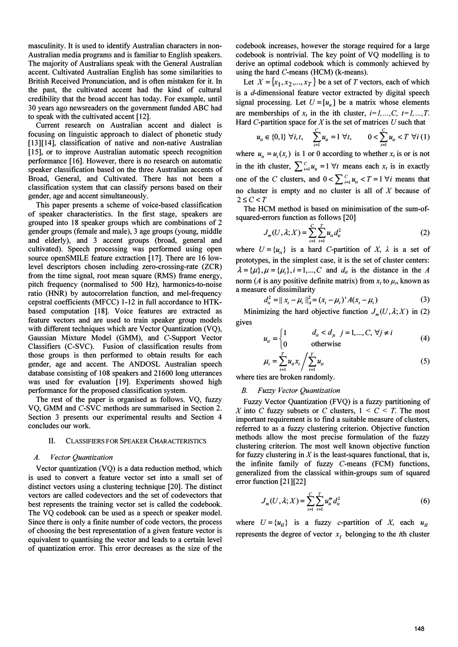masculinity. It is used to identify Australian characters in non-Australian media programs and is familiar to English speakers. The majority of Australians speak with the General Australian accent. Cultivated Australian English has some similarities to British Received Pronunciation, and is often mistaken for it. In the past, the cultivated accent had the kind of cultural credibility that the broad accent has today. For example, until 30 years ago newsreaders on the government funded ABC had to speak with the cultivated accent [12].

Current research on Australian accent and dialect is focusing on linguistic approach to dialect of phonetic study [13][14], classification of native and non-native Australian [15], or to improve Australian automatic speech recognition performance [16]. However, there is no research on automatic speaker classification based on the three Australian accents of Broad, General, and Cultivated. There has not been a classification system that can classify persons based on their gender, age and accent simultaneously.

This paper presents a scheme of voice-based classification of speaker characteristics. In the first stage, speakers are grouped into 18 speaker groups which are combinations of 2 gender groups (female and male), 3 age groups (young, middle and elderly), and 3 accent groups (broad, general and cultivated). Speech processing was performed using open source openSMILE feature extraction [17]. There are 16 lowlevel descriptors chosen including zero-crossing-rate (ZCR) from the time signal, root mean square (RMS) frame energy, pitch frequency (normalised to 500 Hz), harmonics-to-noise ratio (HNR) by autocorrelation function, and mel-frequency cepstral coefficients (MFCC) 1-12 in full accordance to HTKbased computation [18]. Voice features are extracted as feature vectors and are used to train speaker group models with different techniques which are Vector Quantization (VQ), Gaussian Mixture Model (GMM), and C-Support Vector Classifiers (C-SVC). Fusion of classification results from those groups is then performed to obtain results for each gender, age and accent. The ANDOSL Australian speech database consisting of 108 speakers and 21600 long utterances was used for evaluation [19]. Experiments showed high performance for the proposed classification system.

The rest of the paper is organised as follows. VQ, fuzzy VQ, GMM and C-SVC methods are summarised in Section 2. Section 3 presents our experimental results and Section 4 concludes our work.

# II. CLASSIFIERS FOR SPEAKER CHARACTERISTICS

# A. Vector Quantization

Vector quantization (VQ) is a data reduction method, which is used to convert a feature vector set into a small set of distinct vectors using a clustering technique [20]. The distinct vectors are called codevectors and the set of codevectors that best represents the training vector set is called the codebook. The VQ codebook can be used as a speech or speaker model. Since there is only a finite number of code vectors, the process of choosing the best representation of a given feature vector is equivalent to quantising the vector and leads to a certain level of quantization error. This error decreases as the size of the

codebook increases, however the storage required for a large codebook is nontrivial. The key point of VQ modelling is to derive an optimal codebook which is commonly achieved by using the hard C-means (HCM) (k-means).

Let  $X = \{x_1, x_2, ..., x_T\}$  be a set of T vectors, each of which is a d-dimensional feature vector extracted by digital speech signal processing. Let  $U = [u_{ii}]$  be a matrix whose elements are memberships of  $x_i$  in the ith cluster,  $i=1,...,C, t=1,...,T$ . Hard C-partition space for  $X$  is the set of matrices  $U$  such that

$$
u_{ii} \in \{0,1\} \ \forall i, t, \quad \sum_{i=1}^{C} u_{ii} = 1 \ \forall t, \qquad 0 < \sum_{i=1}^{C} u_{ii} < T \ \forall i \ (1)
$$

where  $u_{ii} = u_i(x_i)$  is 1 or 0 according to whether  $x_i$  is or is not in the ith cluster,  $\sum_{i=1}^{C} u_{ii} = 1 \ \forall t$  means each  $x_t$  is in exactly one of the C clusters, and  $0 < \sum_{i=1}^{C} u_{ii} < T = 1 \ \forall i$  means that no cluster is empty and no cluster is all of  $X$  because of  $2 \leq C < T$ 

The HCM method is based on minimisation of the sum-ofsquared-errors function as follows [20]

$$
J_m(U, \lambda; X) = \sum_{i=1}^{C} \sum_{i=1}^{T} u_{ii} d_{ii}^2
$$
 (2)

where  $U = \{u_{ii}\}\$ is a hard C-partition of X,  $\lambda$  is a set of prototypes, in the simplest case, it is the set of cluster centers:  $\lambda = {\mu_j}, \mu = {\mu_i}, i = 1, \dots, C$  and  $d_{it}$  is the distance in the A norm (A is any positive definite matrix) from  $x_i$  to  $\mu_i$ , known as a measure of dissimilarity

$$
d_{ii}^2 = ||x_t - \mu_i||_A^2 = (x_t - \mu_i)'A(x_t - \mu_i)
$$
 (3)

Minimizing the hard objective function  $J_m(U, \lambda; X)$  in (2) gives

$$
u_{ii} = \begin{cases} 1 & d_{ii} < d_{ji} \ j = 1, ..., C, \forall j \neq i \\ 0 & \text{otherwise} \end{cases}
$$
 (4)

$$
\mu_i = \sum_{t=1}^T u_{it} x_t / \sum_{t=1}^T u_{it}
$$
\n(5)

where ties are broken randomly.

## B. Fuzzy Vector Quantization

Fuzzy Vector Quantization (FVQ) is a fuzzy partitioning of X into C fuzzy subsets or C clusters,  $1 \leq C \leq T$ . The most important requirement is to find a suitable measure of clusters, referred to as a fuzzy clustering criterion. Objective function methods allow the most precise formulation of the fuzzy clustering criterion. The most well known objective function for fuzzy clustering in  $X$  is the least-squares functional, that is, the infinite family of fuzzy C-means (FCM) functions, generalized from the classical within-groups sum of squared error function [21] [22]

$$
J_m(U, \lambda; X) = \sum_{i=1}^{C} \sum_{t=1}^{T} u_{ii}^m d_{it}^2
$$
 (6)

where  $U = \{u_{it}\}\$ is a fuzzy c-partition of X, each  $u_{it}$ represents the degree of vector  $x_t$  belonging to the *i*th cluster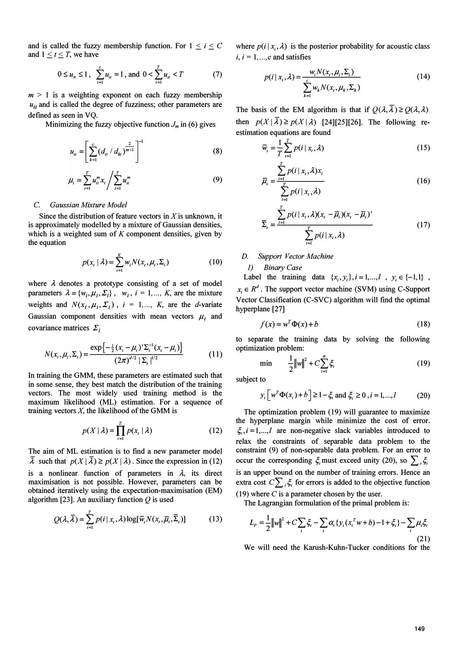and is called the fuzzy membership function. For  $1 \le i \le C$ and  $1 \leq t \leq T$ , we have

$$
0 \le u_{i_t} \le 1
$$
,  $\sum_{i=1}^{c} u_{i_t} = 1$ , and  $0 < \sum_{i=1}^{T} u_{i_t} < T$  (7)

 $m > 1$  is a weighting exponent on each fuzzy membership  $u_{it}$  and is called the degree of fuzziness; other parameters are defined as seen in VQ.

Minimizing the fuzzy objective function  $J_m$  in (6) gives

$$
u_{ii} = \left[ \sum_{k=1}^{c} (d_{ii} / d_{ki})^{\frac{2}{m-1}} \right]^{-1}
$$
 (8)

$$
\mu_i = \sum_{t=1}^T u_i^m x_i / \sum_{t=1}^T u_i^m
$$
\n(9)

#### C. Gaussian Mixture Model

Since the distribution of feature vectors in  $X$  is unknown, it is approximately modelled by a mixture of Gaussian densities, which is a weighted sum of  $K$  component densities, given by the equation

$$
p(x_i | \lambda) = \sum_{i=1}^{K} w_i N(x_i, \mu_i, \Sigma_i)
$$
 (10)

where  $\lambda$  denotes a prototype consisting of a set of model parameters  $\lambda = \{w_i, \mu_i, \Sigma_i\}$ ,  $w_i$ ,  $i = 1, ..., K$ , are the mixture weights and  $N(x_t, \mu_i, \Sigma_i)$ ,  $i = 1,..., K$ , are the *d*-variate Gaussian component densities with mean vectors  $\mu_i$  and covariance matrices  $\Sigma_i$ 

$$
N(x_t, \mu_t, \Sigma_t) = \frac{\exp\left\{-\frac{1}{2}(x_t - \mu_t)^{\mathrm{T}}\Sigma_t^{-1}(x_t - \mu_t)\right\}}{(2\pi)^{d/2} |\Sigma_t|^{1/2}}
$$
(11)

In training the GMM, these parameters are estimated such that in some sense, they best match the distribution of the training vectors. The most widely used training method is the maximum likelihood (ML) estimation. For a sequence of training vectors  $X$ , the likelihood of the GMM is

$$
p(X | \lambda) = \prod_{i=1}^{T} p(x_i | \lambda)
$$
 (12)

The aim of ML estimation is to find a new parameter model  $\overline{\lambda}$  such that  $p(X|\overline{\lambda}) \geq p(X|\lambda)$ . Since the expression in (12) is a nonlinear function of parameters in  $\lambda$ , its direct maximisation is not possible. However, parameters can be obtained iteratively using the expectation-maximisation (EM) algorithm [23]. An auxiliary function  $Q$  is used

$$
Q(\lambda, \overline{\lambda}) = \sum_{i=1}^{T} p(i | x_i, \lambda) \log[\overline{w}_i N(x_i, \overline{\mu}_i, \overline{\Sigma}_i)] \tag{13}
$$

where  $p(i | x_i, \lambda)$  is the posterior probability for acoustic class  $i, i = 1, \ldots, c$  and satisfies

$$
p(i \mid x_i, \lambda) = \frac{w_i N(x_i, \mu_i, \Sigma_i)}{\sum_{k=1}^{c} w_k N(x_i, \mu_k, \Sigma_k)}
$$
(14)

The basis of the EM algorithm is that if  $Q(\lambda, \overline{\lambda}) \ge Q(\lambda, \lambda)$ then  $p(X|\overline{\lambda}) \geq p(X|\lambda)$  [24][25][26]. The following reestimation equations are found

$$
\overline{w}_i = \frac{1}{T} \sum_{i=1}^{T} p(i | x_i, \lambda)
$$
\n(15)

$$
\overline{\mu}_{i} = \frac{\sum_{i=1}^{T} p(i \mid x_{i}, \lambda) x_{i}}{\sum_{i=1}^{T} p(i \mid x_{i}, \lambda)}
$$
(16)

$$
\overline{\Sigma}_{i} = \frac{\sum_{t=1}^{T} p(i \mid x_{t}, \lambda)(x_{t} - \overline{\mu}_{i})(x_{t} - \overline{\mu}_{i})^{\prime}}{\sum_{t=1}^{T} p(i \mid x_{t}, \lambda)}
$$
(17)

# D. Support Vector Machine

1) Binary Case

Label the training data  $\{x_i, y_j\}$ ,  $i = 1, ..., l$ ,  $y_i \in \{-1, 1\}$ ,  $x_i \in R^d$ . The support vector machine (SVM) using C-Support Vector Classification (C-SVC) algorithm will find the optimal hyperplane [27]

$$
f(x) = w^T \Phi(x) + b \tag{18}
$$

to separate the training data by solving the following optimization problem:

$$
\min \qquad \frac{1}{2} \|w\|^2 + C \sum_{i=1}^n \xi_i \tag{19}
$$

subject to

$$
y_i \left[ w^T \Phi(x_i) + b \right] \ge 1 - \xi_i
$$
 and  $\xi_i \ge 0, i = 1, ..., l$  (20)

The optimization problem (19) will guarantee to maximize the hyperplane margin while minimize the cost of error.  $\xi_i$ ,  $i = 1, \dots, l$  are non-negative slack variables introduced to relax the constraints of separable data problem to the constraint (9) of non-separable data problem. For an error to occur the corresponding  $\xi$  must exceed unity (20), so  $\sum_i \xi_i$ is an upper bound on the number of training errors. Hence an extra cost  $C\sum_i \xi_i$  for errors is added to the objective function (19) where  $C$  is a parameter chosen by the user.

The Lagrangian formulation of the primal problem is:

$$
L_{P} = \frac{1}{2} ||w||^{2} + C \sum_{i} \xi_{i} - \sum_{i} \alpha_{i} \{y_{i} (x_{i}^{T} w + b) - 1 + \xi_{i} \} - \sum_{i} \mu_{i} \xi_{i}
$$
\n(21)

We will need the Karush-Kuhn-Tucker conditions for the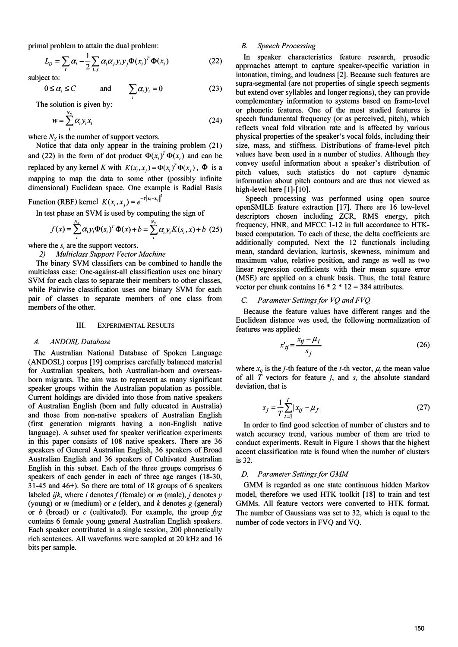primal problem to attain the dual problem:

$$
L_D = \sum_i \alpha_i - \frac{1}{2} \sum_{i,j} \alpha_i \alpha_j y_i y_j \Phi(x_i)^T \Phi(x_i)
$$
 (22)

subject to:

$$
0 \le \alpha_i \le C \qquad \text{and} \qquad \sum_i \alpha_i y_i = 0 \tag{23}
$$

The solution is given by:

$$
w = \sum_{i}^{N_s} \alpha_i y_i x_i \tag{24}
$$

where  $N<sub>S</sub>$  is the number of support vectors.

Notice that data only appear in the training problem (21) and (22) in the form of dot product  $\Phi(x_i)^T \Phi(x_i)$  and can be replaced by any kernel K with  $K(x_i, x_j) = \Phi(x_i)^T \Phi(x_i)$ ,  $\Phi$  is a mapping to map the data to some other (possibly infinite dimensional) Euclidean space. One example is Radial Basis

Function (RBF) kernel  $K(x_i, x_j) = e^{-\gamma |x_i - x_j|^2}$ 

In test phase an SVM is used by computing the sign of

$$
f(x) = \sum_{i}^{N_s} \alpha_i y_i \Phi(s_i)^T \Phi(x) + b = \sum_{i}^{N_s} \alpha_i y_i K(s_i, x) + b
$$
 (25)

where the  $s_i$  are the support vectors.

# 2) Multiclass Support Vector Machine

The binary SVM classifiers can be combined to handle the multiclass case: One-against-all classification uses one binary SVM for each class to separate their members to other classes, while Pairwise classification uses one binary SVM for each pair of classes to separate members of one class from members of the other.

#### III. EXPERIMENTAL RESULTS

#### A. ANDOSL Database

The Australian National Database of Spoken Language (ANDOSL) corpus [19] comprises carefully balanced material for Australian speakers, both Australian-born and overseasborn migrants. The aim was to represent as many significant speaker groups within the Australian population as possible. Current holdings are divided into those from native speakers of Australian English (born and fully educated in Australia) and those from non-native speakers of Australian English (first generation migrants having a non-English native language). A subset used for speaker verification experiments in this paper consists of 108 native speakers. There are 36 speakers of General Australian English, 36 speakers of Broad Australian English and 36 speakers of Cultivated Australian English in this subset. Each of the three groups comprises 6 speakers of each gender in each of three age ranges (18-30, 31-45 and 46+). So there are total of 18 groups of 6 speakers labeled ijk, where i denotes  $f$  (female) or m (male), j denotes  $y$ (young) or  $m$  (medium) or  $e$  (elder), and  $k$  denotes  $g$  (general) or b (broad) or c (cultivated). For example, the group  $f_{\text{Y}}g$ contains 6 female young general Australian English speakers. Each speaker contributed in a single session, 200 phonetically rich sentences. All waveforms were sampled at 20 kHz and 16 bits per sample.

# B. Speech Processing

In speaker characteristics feature research, prosodic approaches attempt to capture speaker-specific variation in intonation, timing, and loudness [2]. Because such features are supra-segmental (are not properties of single speech segments but extend over syllables and longer regions), they can provide complementary information to systems based on frame-level or phonetic features. One of the most studied features is speech fundamental frequency (or as perceived, pitch), which reflects vocal fold vibration rate and is affected by various physical properties of the speaker's vocal folds, including their size, mass, and stiffuess. Distributions of frame-level pitch values have been used in a number of studies. Although they convey useful information about a speaker's distribution of pitch values, such statistics do not capture dynamic information about pitch contours and are thus not viewed as high-level here [1]-[10].

Speech processing was performed using open source openSMILE feature extraction [17]. There are 16 low-level descriptors chosen including ZCR, RMS energy, pitch frequency, HNR, and MFCC 1-12 in full accordance to HTKbased computation. To each of these, the delta coefficients are additionally computed. Next the 12 functionals including mean, standard deviation, kurtosis, skewness, minimum and maximum value, relative position, and range as well as two linear regression coefficients with their mean square error (MSE) are applied on a chunk basis. Thus, the total feature vector per chunk contains  $16 * 2 * 12 = 384$  attributes.

# C. Parameter Settings for VQ and FVQ

Because the feature values have different ranges and the Euclidean distance was used, the following normalization of features was applied:

$$
x_{ij}' = \frac{x_{ij} - \mu_j}{s_j} \tag{26}
$$

where  $x_{ij}$  is the j-th feature of the t-th vector,  $\mu_j$  the mean value of all  $\overline{T}$  vectors for feature  $j$ , and  $s_j$  the absolute standard deviation, that is

$$
s_j = \frac{1}{T} \sum_{t=1}^{T} |x_{tj} - \mu_j|
$$
 (27)

In order to fmd good selection of number of clusters and to watch accuracy trend, various number of them are tried to conduct experiments. Result in Figure 1 shows that the highest accent classification rate is found when the number of clusters is 32.

# D. Parameter Settings for GMM

GMM is regarded as one state continuous hidden Markov model, therefore we used HTK toolkit [18] to train and test GMMs. All feature vectors were converted to HTK format. The number of Gaussians was set to 32, which is equal to the number of code vectors in FVQ and VQ.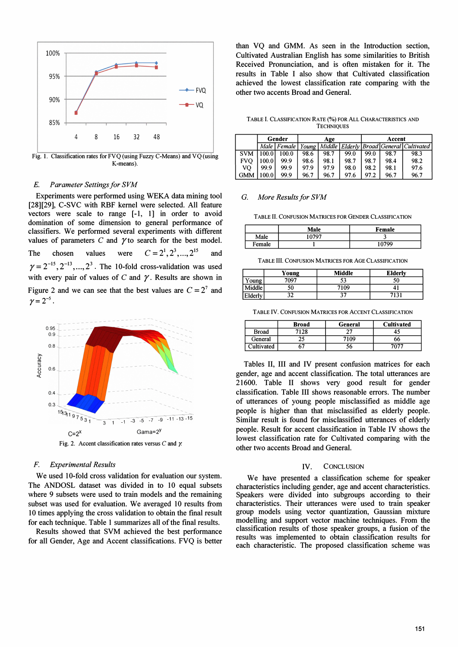

Fig. 1. Classification rates for FVQ (using Fuzzy C-Means) and VQ (using K-means).

#### E. Parameter Settings for SVM

Experiments were performed using WEKA data mining tool [28][29], C-SVC with RBF kernel were selected. All feature vectors were scale to range [-1, 1] in order to avoid domination of some dimension to general performance of classifiers. We performed several experiments with different values of parameters  $C$  and  $\gamma$  to search for the best model. The chosen values were  $C = 2^1, 2^3, \dots, 2^{15}$  and  $\gamma = 2^{-15}$ ,  $2^{-13}$ , ...,  $2^3$ . The 10-fold cross-validation was used with every pair of values of C and  $\gamma$ . Results are shown in Figure 2 and we can see that the best values are  $C = 2<sup>7</sup>$  and  $\gamma = 2^{-5}$ .



#### F. Experimental Results

We used lO-fold cross validation for evaluation our system. The ANDOSL dataset was divided in to 10 equal subsets where 9 subsets were used to train models and the remaining subset was used for evaluation. We averaged 10 results from 10 times applying the cross validation to obtain the final result for each technique. Table 1 summarizes all of the fmal results.

Results showed that SVM achieved the best performance for all Gender, Age and Accent classifications. FVQ is better

than VQ and GMM. As seen in the Introduction section, Cultivated Australian English has some similarities to British Received Pronunciation, and is often mistaken for it. The results in Table I also show that Cultivated classification achieved the lowest classification rate comparing with the other two accents Broad and General.

TABLE I. CLASSIFICATION RATE (%) FOR ALL CHARACTERISTICS AND **TECHNIQUES** 

|            | Gender |               | Age  |      |      | Accent |      |                                                         |
|------------|--------|---------------|------|------|------|--------|------|---------------------------------------------------------|
|            |        | Male   Female |      |      |      |        |      | Young   Middle   Elderly   Broad   General   Cultivated |
| <b>SVM</b> | 100.01 | 100.0         | 98.6 | 98.7 | 99.0 | 99.0   | 98.7 | 98.3                                                    |
| <b>FVO</b> | 100.01 | 99.9          | 98.6 | 98.1 | 98.7 | 98.7   | 98.4 | 98.2                                                    |
| VO         | 99.9   | 99.9          | 97.9 | 97.9 | 98.0 | 98.2   | 98.1 | 97.6                                                    |
| <b>GMM</b> | 00.0   | 99.9          | 96.7 | 96.7 | 97.6 | 97.2   | 96.7 | 96.7                                                    |

## G. More Results for SVM

TABLE II. CONFUSION MATRICES FOR GENDER CLASSIFICATION

|        | Male  | Female |
|--------|-------|--------|
| Male   | 10797 |        |
| Female |       | 10799  |

TABLE III. CONFUSION MATRICES FOR AGE CLASSIFICATION

|         | Young     | <b>Middle</b> | <b>Elderly</b> |
|---------|-----------|---------------|----------------|
| Young   | 7097      | ээ            | 50             |
| Middle  | 50        | 7109          |                |
| Elderly | າາ<br>ے ر | າ ສ           | 7131           |

TABLE IV. CONFUSION MATRICES FOR ACCENT CLASSIFICATION

|              | <b>Broad</b> | General | <b>Cultivated</b> |
|--------------|--------------|---------|-------------------|
| <b>Broad</b> | 7128         |         |                   |
| General      | رے           | 7100    | 66                |
| Jultivated   | 'n.          |         | ワハワワ              |

Tables II, III and IV present confusion matrices for each gender, age and accent classification. The total utterances are 21600. Table II shows very good result for gender classification. Table III shows reasonable errors. The number of utterances of young people misclassified as middle age people is higher than that misclassified as elderly people. Similar result is found for misclassified utterances of elderly people. Result for accent classification in Table IV shows the lowest classification rate for Cultivated comparing with the other two accents Broad and General.

# IV. CONCLUSION

We have presented a classification scheme for speaker characteristics including gender, age and accent characteristics. Speakers were divided into subgroups according to their characteristics. Their utterances were used to train speaker group models using vector quantization, Gaussian mixture modelling and support vector machine techniques. From the classification results of those speaker groups, a fusion of the results was implemented to obtain classification results for each characteristic. The proposed classification scheme was